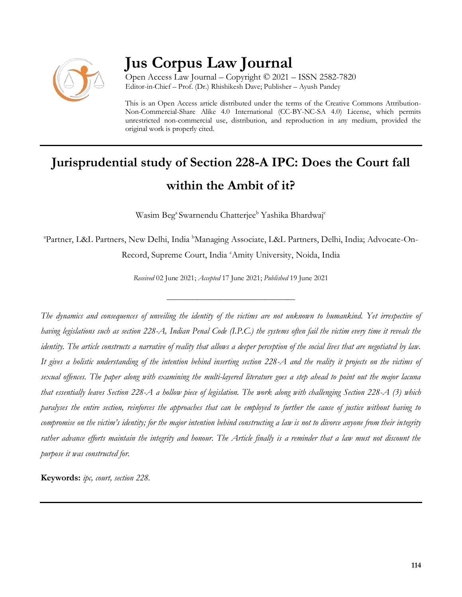

## **Jus Corpus Law Journal**

Open Access Law Journal – Copyright © 2021 – ISSN 2582-7820 Editor-in-Chief – Prof. (Dr.) Rhishikesh Dave; Publisher – Ayush Pandey

This is an Open Access article distributed under the terms of the Creative Commons Attribution-Non-Commercial-Share Alike 4.0 International (CC-BY-NC-SA 4.0) License, which permits unrestricted non-commercial use, distribution, and reproduction in any medium, provided the original work is properly cited.

# **Jurisprudential study of Section 228-A IPC: Does the Court fall within the Ambit of it?**

Wasim Beg<sup>a</sup> Swarnendu Chatterjee<sup>b</sup> Yashika Bhardwaj<sup>e</sup>

<sup>a</sup>Partner, L&L Partners, New Delhi, India <sup>b</sup>Managing Associate, L&L Partners, Delhi, India; Advocate-On-Record, Supreme Court, India <sup>c</sup>Amity University, Noida, India

*Received* 02 June 2021; *Accepted* 17 June 2021; *Published* 19 June 2021

\_\_\_\_\_\_\_\_\_\_\_\_\_\_\_\_\_\_\_\_\_\_\_\_\_\_\_\_\_\_\_\_\_\_

*The dynamics and consequences of unveiling the identity of the victims are not unknown to humankind. Yet irrespective of having legislations such as section 228-A, Indian Penal Code (I.P.C.) the systems often fail the victim every time it reveals the identity. The article constructs a narrative of reality that allows a deeper perception of the social lives that are negotiated by law. It gives a holistic understanding of the intention behind inserting section 228-A and the reality it projects on the victims of sexual offences. The paper along with examining the multi-layered literature goes a step ahead to point out the major lacuna that essentially leaves Section 228-A a hollow piece of legislation. The work along with challenging Section 228-A (3) which paralyses the entire section, reinforces the approaches that can be employed to further the cause of justice without having to compromise on the victim's identity; for the major intention behind constructing a law is not to divorce anyone from their integrity rather advance efforts maintain the integrity and honour. The Article finally is a reminder that a law must not discount the purpose it was constructed for.*

**Keywords:** *ipc, court, section 228.*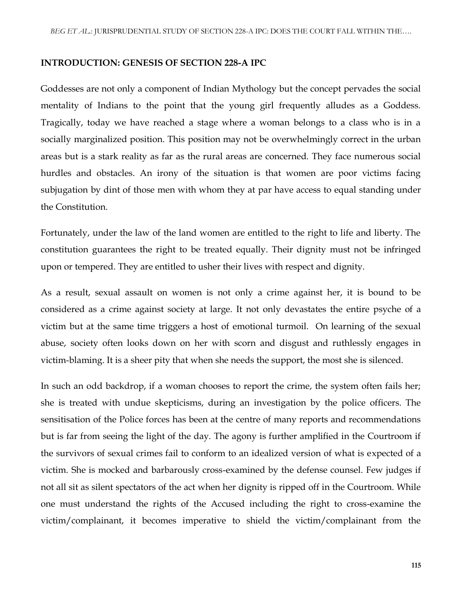#### **INTRODUCTION: GENESIS OF SECTION 228-A IPC**

Goddesses are not only a component of Indian Mythology but the concept pervades the social mentality of Indians to the point that the young girl frequently alludes as a Goddess. Tragically, today we have reached a stage where a woman belongs to a class who is in a socially marginalized position. This position may not be overwhelmingly correct in the urban areas but is a stark reality as far as the rural areas are concerned. They face numerous social hurdles and obstacles. An irony of the situation is that women are poor victims facing subjugation by dint of those men with whom they at par have access to equal standing under the Constitution.

Fortunately, under the law of the land women are entitled to the right to life and liberty. The constitution guarantees the right to be treated equally. Their dignity must not be infringed upon or tempered. They are entitled to usher their lives with respect and dignity.

As a result, sexual assault on women is not only a crime against her, it is bound to be considered as a crime against society at large. It not only devastates the entire psyche of a victim but at the same time triggers a host of emotional turmoil. On learning of the sexual abuse, society often looks down on her with scorn and disgust and ruthlessly engages in victim-blaming. It is a sheer pity that when she needs the support, the most she is silenced.

In such an odd backdrop, if a woman chooses to report the crime, the system often fails her; she is treated with undue skepticisms, during an investigation by the police officers. The sensitisation of the Police forces has been at the centre of many reports and recommendations but is far from seeing the light of the day. The agony is further amplified in the Courtroom if the survivors of sexual crimes fail to conform to an idealized version of what is expected of a victim. She is mocked and barbarously cross-examined by the defense counsel. Few judges if not all sit as silent spectators of the act when her dignity is ripped off in the Courtroom. While one must understand the rights of the Accused including the right to cross-examine the victim/complainant, it becomes imperative to shield the victim/complainant from the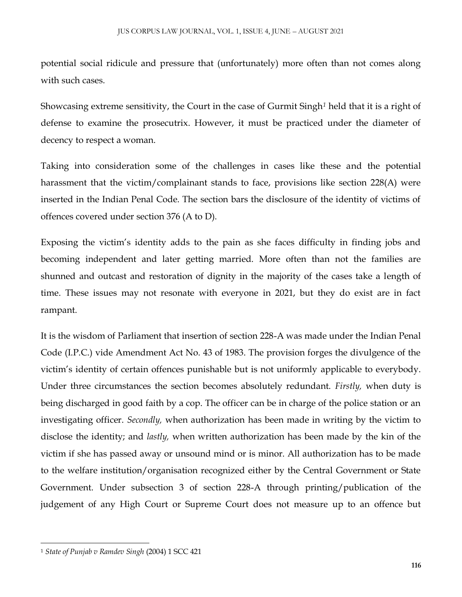potential social ridicule and pressure that (unfortunately) more often than not comes along with such cases.

Showcasing extreme sensitivity, the Court in the case of Gurmit Singh*<sup>1</sup>* held that it is a right of defense to examine the prosecutrix. However, it must be practiced under the diameter of decency to respect a woman.

Taking into consideration some of the challenges in cases like these and the potential harassment that the victim/complainant stands to face, provisions like section 228(A) were inserted in the Indian Penal Code. The section bars the disclosure of the identity of victims of offences covered under section 376 (A to D).

Exposing the victim's identity adds to the pain as she faces difficulty in finding jobs and becoming independent and later getting married. More often than not the families are shunned and outcast and restoration of dignity in the majority of the cases take a length of time. These issues may not resonate with everyone in 2021, but they do exist are in fact rampant.

It is the wisdom of Parliament that insertion of section 228-A was made under the Indian Penal Code (I.P.C.) vide Amendment Act No. 43 of 1983. The provision forges the divulgence of the victim's identity of certain offences punishable but is not uniformly applicable to everybody. Under three circumstances the section becomes absolutely redundant. *Firstly,* when duty is being discharged in good faith by a cop. The officer can be in charge of the police station or an investigating officer. *Secondly,* when authorization has been made in writing by the victim to disclose the identity; and *lastly,* when written authorization has been made by the kin of the victim if she has passed away or unsound mind or is minor. All authorization has to be made to the welfare institution/organisation recognized either by the Central Government or State Government. Under subsection 3 of section 228-A through printing/publication of the judgement of any High Court or Supreme Court does not measure up to an offence but

<sup>1</sup> *State of Punjab v Ramdev Singh* (2004) 1 SCC 421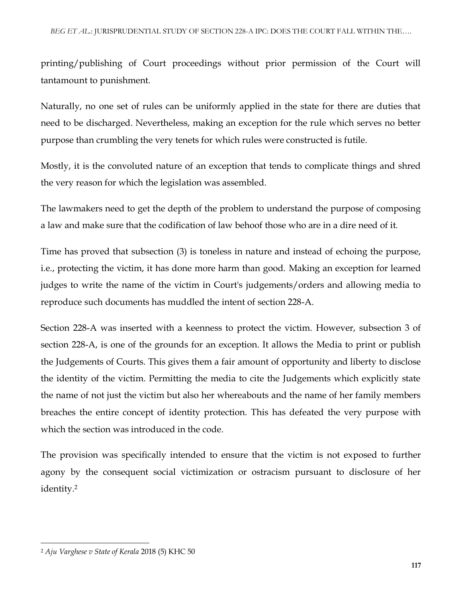printing/publishing of Court proceedings without prior permission of the Court will tantamount to punishment.

Naturally, no one set of rules can be uniformly applied in the state for there are duties that need to be discharged. Nevertheless, making an exception for the rule which serves no better purpose than crumbling the very tenets for which rules were constructed is futile.

Mostly, it is the convoluted nature of an exception that tends to complicate things and shred the very reason for which the legislation was assembled.

The lawmakers need to get the depth of the problem to understand the purpose of composing a law and make sure that the codification of law behoof those who are in a dire need of it.

Time has proved that subsection (3) is toneless in nature and instead of echoing the purpose, i.e., protecting the victim, it has done more harm than good. Making an exception for learned judges to write the name of the victim in Court's judgements/orders and allowing media to reproduce such documents has muddled the intent of section 228-A.

Section 228-A was inserted with a keenness to protect the victim. However, subsection 3 of section 228-A, is one of the grounds for an exception. It allows the Media to print or publish the Judgements of Courts. This gives them a fair amount of opportunity and liberty to disclose the identity of the victim. Permitting the media to cite the Judgements which explicitly state the name of not just the victim but also her whereabouts and the name of her family members breaches the entire concept of identity protection. This has defeated the very purpose with which the section was introduced in the code.

The provision was specifically intended to ensure that the victim is not exposed to further agony by the consequent social victimization or ostracism pursuant to disclosure of her identity.<sup>2</sup>

<sup>2</sup> *Aju Varghese v State of Kerala* 2018 (5) KHC 50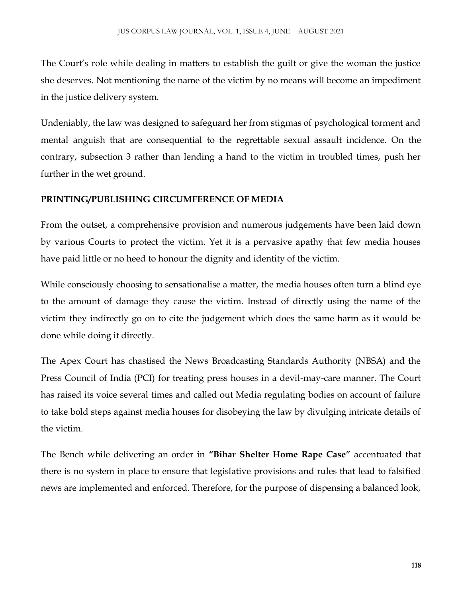The Court's role while dealing in matters to establish the guilt or give the woman the justice she deserves. Not mentioning the name of the victim by no means will become an impediment in the justice delivery system.

Undeniably, the law was designed to safeguard her from stigmas of psychological torment and mental anguish that are consequential to the regrettable sexual assault incidence. On the contrary, subsection 3 rather than lending a hand to the victim in troubled times, push her further in the wet ground.

### **PRINTING/PUBLISHING CIRCUMFERENCE OF MEDIA**

From the outset, a comprehensive provision and numerous judgements have been laid down by various Courts to protect the victim. Yet it is a pervasive apathy that few media houses have paid little or no heed to honour the dignity and identity of the victim.

While consciously choosing to sensationalise a matter, the media houses often turn a blind eye to the amount of damage they cause the victim. Instead of directly using the name of the victim they indirectly go on to cite the judgement which does the same harm as it would be done while doing it directly.

The Apex Court has chastised the News Broadcasting Standards Authority (NBSA) and the Press Council of India (PCI) for treating press houses in a devil-may-care manner. The Court has raised its voice several times and called out Media regulating bodies on account of failure to take bold steps against media houses for disobeying the law by divulging intricate details of the victim.

The Bench while delivering an order in **"Bihar Shelter Home Rape Case"** accentuated that there is no system in place to ensure that legislative provisions and rules that lead to falsified news are implemented and enforced. Therefore, for the purpose of dispensing a balanced look,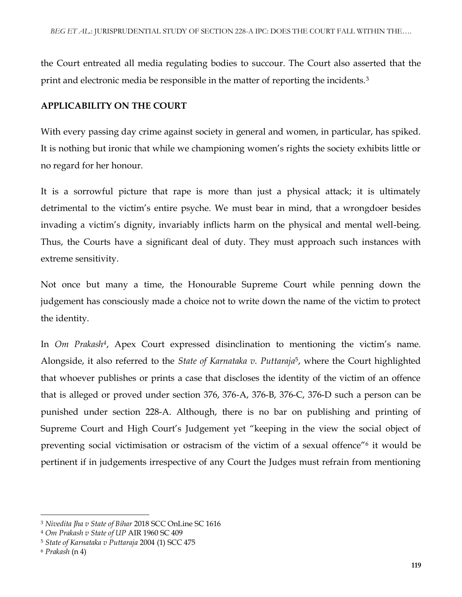the Court entreated all media regulating bodies to succour. The Court also asserted that the print and electronic media be responsible in the matter of reporting the incidents.<sup>3</sup>

## **APPLICABILITY ON THE COURT**

With every passing day crime against society in general and women, in particular, has spiked. It is nothing but ironic that while we championing women's rights the society exhibits little or no regard for her honour.

It is a sorrowful picture that rape is more than just a physical attack; it is ultimately detrimental to the victim's entire psyche. We must bear in mind, that a wrongdoer besides invading a victim's dignity, invariably inflicts harm on the physical and mental well-being. Thus, the Courts have a significant deal of duty. They must approach such instances with extreme sensitivity.

Not once but many a time, the Honourable Supreme Court while penning down the judgement has consciously made a choice not to write down the name of the victim to protect the identity.

In *Om Prakash<sup>4</sup>* , Apex Court expressed disinclination to mentioning the victim's name. Alongside, it also referred to the *State of Karnataka v. Puttaraja*<sup>5</sup> , where the Court highlighted that whoever publishes or prints a case that discloses the identity of the victim of an offence that is alleged or proved under section 376, 376-A, 376-B, 376-C, 376-D such a person can be punished under section 228-A. Although, there is no bar on publishing and printing of Supreme Court and High Court's Judgement yet "keeping in the view the social object of preventing social victimisation or ostracism of the victim of a sexual offence"<sup>6</sup> it would be pertinent if in judgements irrespective of any Court the Judges must refrain from mentioning

<sup>3</sup> *Nivedita Jha v State of Bihar* 2018 SCC OnLine SC 1616

<sup>4</sup> *Om Prakash v State of UP* AIR 1960 SC 409

<sup>5</sup> *State of Karnataka v Puttaraja* 2004 (1) SCC 475

<sup>6</sup> *Prakash* (n 4)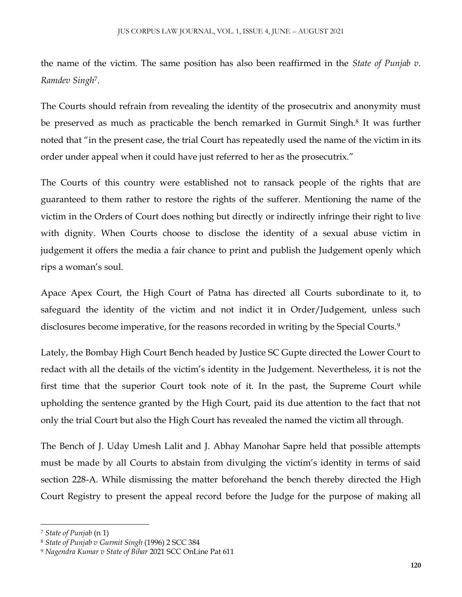the name of the victim. The same position has also been reaffirmed in the *State of Punjab v. Ramdev Singh*<sup>7</sup> .

The Courts should refrain from revealing the identity of the prosecutrix and anonymity must be preserved as much as practicable the bench remarked in Gurmit Singh.<sup>8</sup> It was further noted that "in the present case, the trial Court has repeatedly used the name of the victim in its order under appeal when it could have just referred to her as the prosecutrix."

The Courts of this country were established not to ransack people of the rights that are guaranteed to them rather to restore the rights of the sufferer. Mentioning the name of the victim in the Orders of Court does nothing but directly or indirectly infringe their right to live with dignity. When Courts choose to disclose the identity of a sexual abuse victim in judgement it offers the media a fair chance to print and publish the Judgement openly which rips a woman's soul.

Apace Apex Court, the High Court of Patna has directed all Courts subordinate to it, to safeguard the identity of the victim and not indict it in Order/Judgement, unless such disclosures become imperative, for the reasons recorded in writing by the Special Courts.<sup>9</sup>

Lately, the Bombay High Court Bench headed by Justice SC Gupte directed the Lower Court to redact with all the details of the victim's identity in the Judgement. Nevertheless, it is not the first time that the superior Court took note of it. In the past, the Supreme Court while upholding the sentence granted by the High Court, paid its due attention to the fact that not only the trial Court but also the High Court has revealed the named the victim all through.

The Bench of J. Uday Umesh Lalit and J. Abhay Manohar Sapre held that possible attempts must be made by all Courts to abstain from divulging the victim's identity in terms of said section 228-A. While dismissing the matter beforehand the bench thereby directed the High Court Registry to present the appeal record before the Judge for the purpose of making all

<sup>7</sup> *State of Punjab* (n 1)

<sup>8</sup> *State of Punjab v Gurmit Singh* (1996) 2 SCC 384

<sup>9</sup> *Nagendra Kumar v State of Bihar* 2021 SCC OnLine Pat 611